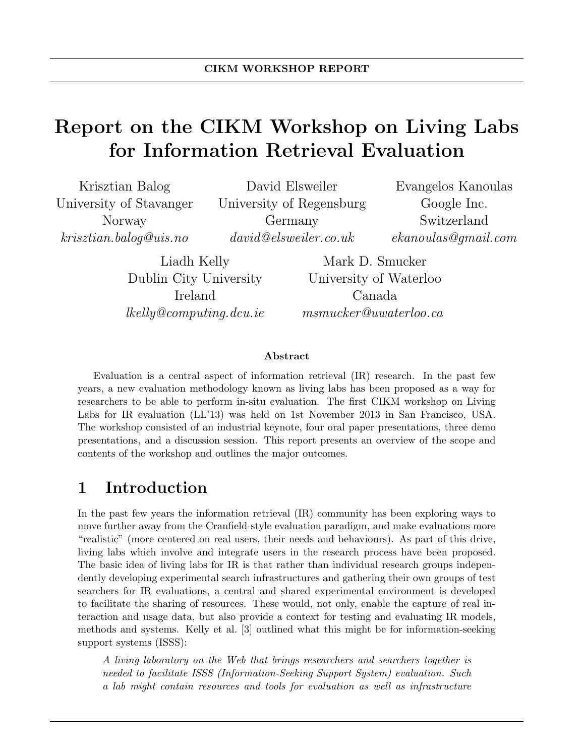# Report on the CIKM Workshop on Living Labs for Information Retrieval Evaluation

| Krisztian Balog         | David Elsweiler          | Evangelos Kanoulas   |
|-------------------------|--------------------------|----------------------|
| University of Stavanger | University of Regensburg | Google Inc.          |
| Norway                  | Germany                  | Switzerland          |
| kriszrian.balog@uis.no  | david@elsweiler.co.uk    | ekanoulas Qqmail.com |
|                         |                          |                      |

Liadh Kelly Dublin City University Ireland lkelly@computing.dcu.ie

Mark D. Smucker University of Waterloo Canada msmucker@uwaterloo.ca

#### Abstract

Evaluation is a central aspect of information retrieval (IR) research. In the past few years, a new evaluation methodology known as living labs has been proposed as a way for researchers to be able to perform in-situ evaluation. The first CIKM workshop on Living Labs for IR evaluation (LL'13) was held on 1st November 2013 in San Francisco, USA. The workshop consisted of an industrial keynote, four oral paper presentations, three demo presentations, and a discussion session. This report presents an overview of the scope and contents of the workshop and outlines the major outcomes.

#### 1 Introduction

In the past few years the information retrieval (IR) community has been exploring ways to move further away from the Cranfield-style evaluation paradigm, and make evaluations more "realistic" (more centered on real users, their needs and behaviours). As part of this drive, living labs which involve and integrate users in the research process have been proposed. The basic idea of living labs for IR is that rather than individual research groups independently developing experimental search infrastructures and gathering their own groups of test searchers for IR evaluations, a central and shared experimental environment is developed to facilitate the sharing of resources. These would, not only, enable the capture of real interaction and usage data, but also provide a context for testing and evaluating IR models, methods and systems. Kelly et al. [3] outlined what this might be for information-seeking support systems (ISSS):

A living laboratory on the Web that brings researchers and searchers together is needed to facilitate ISSS (Information-Seeking Support System) evaluation. Such a lab might contain resources and tools for evaluation as well as infrastructure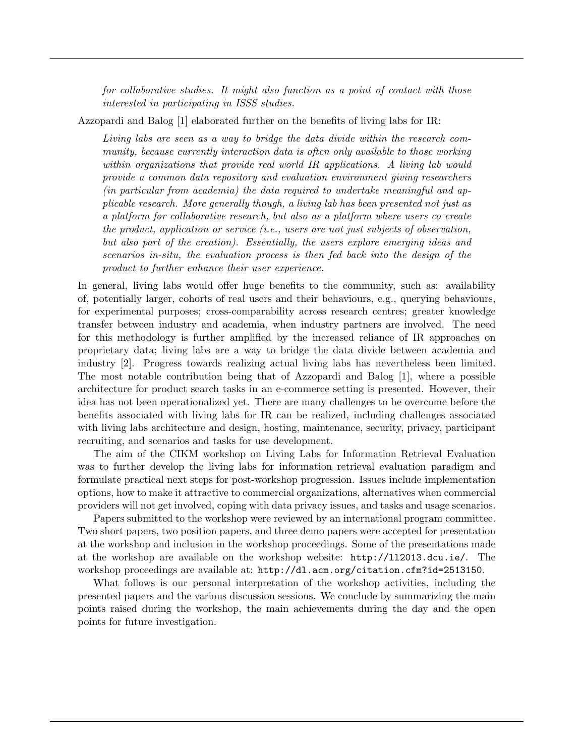for collaborative studies. It might also function as a point of contact with those interested in participating in ISSS studies.

Azzopardi and Balog [1] elaborated further on the benefits of living labs for IR:

Living labs are seen as a way to bridge the data divide within the research community, because currently interaction data is often only available to those working within organizations that provide real world IR applications. A living lab would provide a common data repository and evaluation environment giving researchers (in particular from academia) the data required to undertake meaningful and applicable research. More generally though, a living lab has been presented not just as a platform for collaborative research, but also as a platform where users co-create the product, application or service (i.e., users are not just subjects of observation, but also part of the creation). Essentially, the users explore emerging ideas and scenarios in-situ, the evaluation process is then fed back into the design of the product to further enhance their user experience.

In general, living labs would offer huge benefits to the community, such as: availability of, potentially larger, cohorts of real users and their behaviours, e.g., querying behaviours, for experimental purposes; cross-comparability across research centres; greater knowledge transfer between industry and academia, when industry partners are involved. The need for this methodology is further amplified by the increased reliance of IR approaches on proprietary data; living labs are a way to bridge the data divide between academia and industry [2]. Progress towards realizing actual living labs has nevertheless been limited. The most notable contribution being that of Azzopardi and Balog [1], where a possible architecture for product search tasks in an e-commerce setting is presented. However, their idea has not been operationalized yet. There are many challenges to be overcome before the benefits associated with living labs for IR can be realized, including challenges associated with living labs architecture and design, hosting, maintenance, security, privacy, participant recruiting, and scenarios and tasks for use development.

The aim of the CIKM workshop on Living Labs for Information Retrieval Evaluation was to further develop the living labs for information retrieval evaluation paradigm and formulate practical next steps for post-workshop progression. Issues include implementation options, how to make it attractive to commercial organizations, alternatives when commercial providers will not get involved, coping with data privacy issues, and tasks and usage scenarios.

Papers submitted to the workshop were reviewed by an international program committee. Two short papers, two position papers, and three demo papers were accepted for presentation at the workshop and inclusion in the workshop proceedings. Some of the presentations made at the workshop are available on the workshop website: http://ll2013.dcu.ie/. The workshop proceedings are available at: http://dl.acm.org/citation.cfm?id=2513150.

What follows is our personal interpretation of the workshop activities, including the presented papers and the various discussion sessions. We conclude by summarizing the main points raised during the workshop, the main achievements during the day and the open points for future investigation.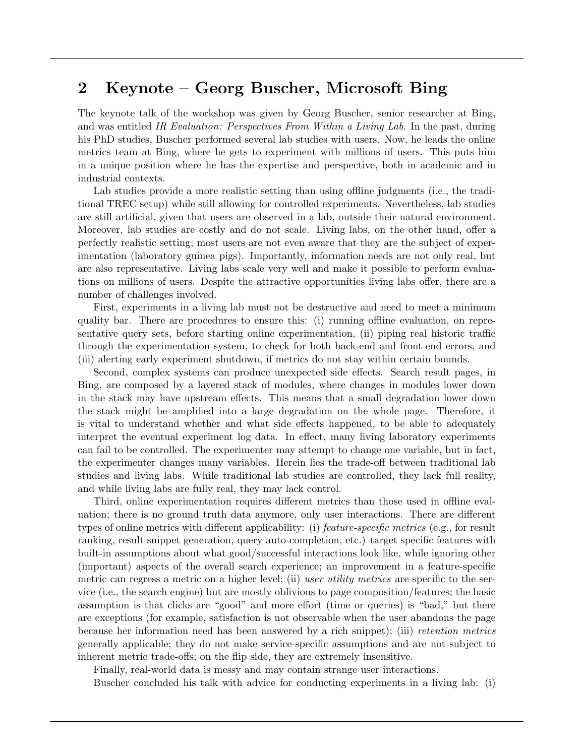## 2 Keynote – Georg Buscher, Microsoft Bing

The keynote talk of the workshop was given by Georg Buscher, senior researcher at Bing, and was entitled IR Evaluation: Perspectives From Within a Living Lab. In the past, during his PhD studies, Buscher performed several lab studies with users. Now, he leads the online metrics team at Bing, where he gets to experiment with millions of users. This puts him in a unique position where he has the expertise and perspective, both in academic and in industrial contexts.

Lab studies provide a more realistic setting than using offline judgments (i.e., the traditional TREC setup) while still allowing for controlled experiments. Nevertheless, lab studies are still artificial, given that users are observed in a lab, outside their natural environment. Moreover, lab studies are costly and do not scale. Living labs, on the other hand, offer a perfectly realistic setting; most users are not even aware that they are the subject of experimentation (laboratory guinea pigs). Importantly, information needs are not only real, but are also representative. Living labs scale very well and make it possible to perform evaluations on millions of users. Despite the attractive opportunities living labs offer, there are a number of challenges involved.

First, experiments in a living lab must not be destructive and need to meet a minimum quality bar. There are procedures to ensure this: (i) running offline evaluation, on representative query sets, before starting online experimentation, (ii) piping real historic traffic through the experimentation system, to check for both back-end and front-end errors, and (iii) alerting early experiment shutdown, if metrics do not stay within certain bounds.

Second, complex systems can produce unexpected side effects. Search result pages, in Bing, are composed by a layered stack of modules, where changes in modules lower down in the stack may have upstream effects. This means that a small degradation lower down the stack might be amplified into a large degradation on the whole page. Therefore, it is vital to understand whether and what side effects happened, to be able to adequately interpret the eventual experiment log data. In effect, many living laboratory experiments can fail to be controlled. The experimenter may attempt to change one variable, but in fact, the experimenter changes many variables. Herein lies the trade-off between traditional lab studies and living labs. While traditional lab studies are controlled, they lack full reality, and while living labs are fully real, they may lack control.

Third, online experimentation requires different metrics than those used in offline evaluation; there is no ground truth data anymore, only user interactions. There are different types of online metrics with different applicability: (i) *feature-specific metrics* (e.g., for result ranking, result snippet generation, query auto-completion, etc.) target specific features with built-in assumptions about what good/successful interactions look like, while ignoring other (important) aspects of the overall search experience; an improvement in a feature-specific metric can regress a metric on a higher level; (ii) user utility metrics are specific to the service (i.e., the search engine) but are mostly oblivious to page composition/features; the basic assumption is that clicks are "good" and more effort (time or queries) is "bad," but there are exceptions (for example, satisfaction is not observable when the user abandons the page because her information need has been answered by a rich snippet); (iii) retention metrics generally applicable; they do not make service-specific assumptions and are not subject to inherent metric trade-offs; on the flip side, they are extremely insensitive.

Finally, real-world data is messy and may contain strange user interactions.

Buscher concluded his talk with advice for conducting experiments in a living lab: (i)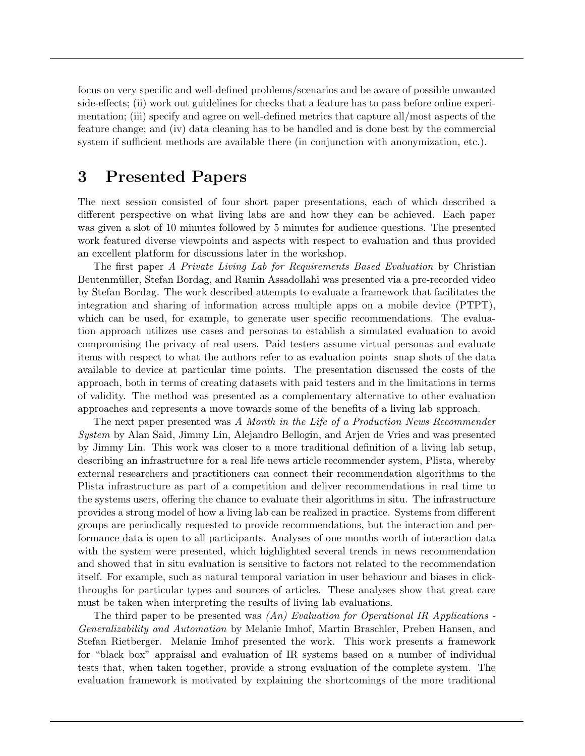focus on very specific and well-defined problems/scenarios and be aware of possible unwanted side-effects; (ii) work out guidelines for checks that a feature has to pass before online experimentation; (iii) specify and agree on well-defined metrics that capture all/most aspects of the feature change; and (iv) data cleaning has to be handled and is done best by the commercial system if sufficient methods are available there (in conjunction with anonymization, etc.).

# 3 Presented Papers

The next session consisted of four short paper presentations, each of which described a different perspective on what living labs are and how they can be achieved. Each paper was given a slot of 10 minutes followed by 5 minutes for audience questions. The presented work featured diverse viewpoints and aspects with respect to evaluation and thus provided an excellent platform for discussions later in the workshop.

The first paper A Private Living Lab for Requirements Based Evaluation by Christian Beutenmüller, Stefan Bordag, and Ramin Assadollahi was presented via a pre-recorded video by Stefan Bordag. The work described attempts to evaluate a framework that facilitates the integration and sharing of information across multiple apps on a mobile device (PTPT), which can be used, for example, to generate user specific recommendations. The evaluation approach utilizes use cases and personas to establish a simulated evaluation to avoid compromising the privacy of real users. Paid testers assume virtual personas and evaluate items with respect to what the authors refer to as evaluation points snap shots of the data available to device at particular time points. The presentation discussed the costs of the approach, both in terms of creating datasets with paid testers and in the limitations in terms of validity. The method was presented as a complementary alternative to other evaluation approaches and represents a move towards some of the benefits of a living lab approach.

The next paper presented was A Month in the Life of a Production News Recommender System by Alan Said, Jimmy Lin, Alejandro Bellogin, and Arjen de Vries and was presented by Jimmy Lin. This work was closer to a more traditional definition of a living lab setup, describing an infrastructure for a real life news article recommender system, Plista, whereby external researchers and practitioners can connect their recommendation algorithms to the Plista infrastructure as part of a competition and deliver recommendations in real time to the systems users, offering the chance to evaluate their algorithms in situ. The infrastructure provides a strong model of how a living lab can be realized in practice. Systems from different groups are periodically requested to provide recommendations, but the interaction and performance data is open to all participants. Analyses of one months worth of interaction data with the system were presented, which highlighted several trends in news recommendation and showed that in situ evaluation is sensitive to factors not related to the recommendation itself. For example, such as natural temporal variation in user behaviour and biases in clickthroughs for particular types and sources of articles. These analyses show that great care must be taken when interpreting the results of living lab evaluations.

The third paper to be presented was  $(An)$  Evaluation for Operational IR Applications -Generalizability and Automation by Melanie Imhof, Martin Braschler, Preben Hansen, and Stefan Rietberger. Melanie Imhof presented the work. This work presents a framework for "black box" appraisal and evaluation of IR systems based on a number of individual tests that, when taken together, provide a strong evaluation of the complete system. The evaluation framework is motivated by explaining the shortcomings of the more traditional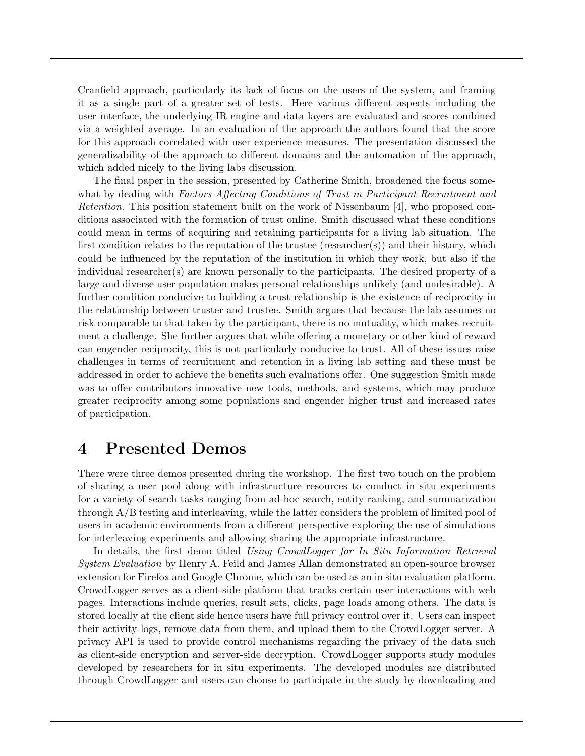Cranfield approach, particularly its lack of focus on the users of the system, and framing it as a single part of a greater set of tests. Here various different aspects including the user interface, the underlying IR engine and data layers are evaluated and scores combined via a weighted average. In an evaluation of the approach the authors found that the score for this approach correlated with user experience measures. The presentation discussed the generalizability of the approach to different domains and the automation of the approach, which added nicely to the living labs discussion.

The final paper in the session, presented by Catherine Smith, broadened the focus somewhat by dealing with Factors Affecting Conditions of Trust in Participant Recruitment and Retention. This position statement built on the work of Nissenbaum [4], who proposed conditions associated with the formation of trust online. Smith discussed what these conditions could mean in terms of acquiring and retaining participants for a living lab situation. The first condition relates to the reputation of the trustee (researcher(s)) and their history, which could be influenced by the reputation of the institution in which they work, but also if the individual researcher(s) are known personally to the participants. The desired property of a large and diverse user population makes personal relationships unlikely (and undesirable). A further condition conducive to building a trust relationship is the existence of reciprocity in the relationship between truster and trustee. Smith argues that because the lab assumes no risk comparable to that taken by the participant, there is no mutuality, which makes recruitment a challenge. She further argues that while offering a monetary or other kind of reward can engender reciprocity, this is not particularly conducive to trust. All of these issues raise challenges in terms of recruitment and retention in a living lab setting and these must be addressed in order to achieve the benefits such evaluations offer. One suggestion Smith made was to offer contributors innovative new tools, methods, and systems, which may produce greater reciprocity among some populations and engender higher trust and increased rates of participation.

#### 4 Presented Demos

There were three demos presented during the workshop. The first two touch on the problem of sharing a user pool along with infrastructure resources to conduct in situ experiments for a variety of search tasks ranging from ad-hoc search, entity ranking, and summarization through A/B testing and interleaving, while the latter considers the problem of limited pool of users in academic environments from a different perspective exploring the use of simulations for interleaving experiments and allowing sharing the appropriate infrastructure.

In details, the first demo titled Using CrowdLogger for In Situ Information Retrieval System Evaluation by Henry A. Feild and James Allan demonstrated an open-source browser extension for Firefox and Google Chrome, which can be used as an in situ evaluation platform. CrowdLogger serves as a client-side platform that tracks certain user interactions with web pages. Interactions include queries, result sets, clicks, page loads among others. The data is stored locally at the client side hence users have full privacy control over it. Users can inspect their activity logs, remove data from them, and upload them to the CrowdLogger server. A privacy API is used to provide control mechanisms regarding the privacy of the data such as client-side encryption and server-side decryption. CrowdLogger supports study modules developed by researchers for in situ experiments. The developed modules are distributed through CrowdLogger and users can choose to participate in the study by downloading and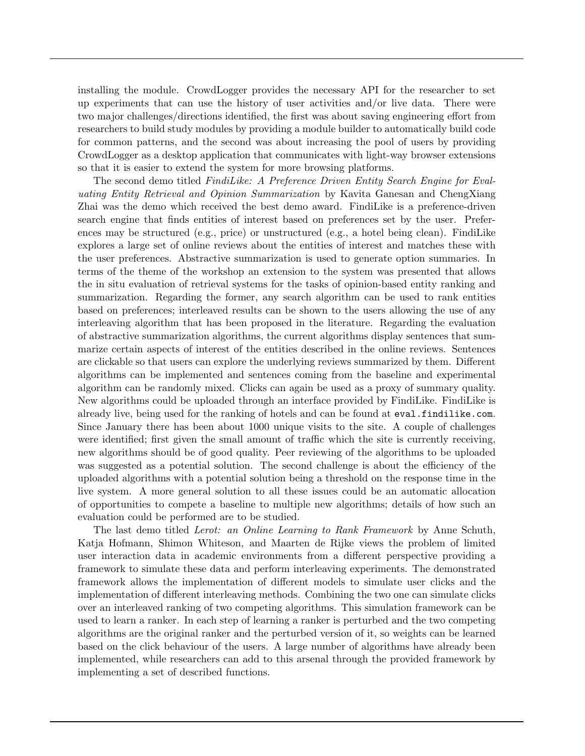installing the module. CrowdLogger provides the necessary API for the researcher to set up experiments that can use the history of user activities and/or live data. There were two major challenges/directions identified, the first was about saving engineering effort from researchers to build study modules by providing a module builder to automatically build code for common patterns, and the second was about increasing the pool of users by providing CrowdLogger as a desktop application that communicates with light-way browser extensions so that it is easier to extend the system for more browsing platforms.

The second demo titled FindiLike: A Preference Driven Entity Search Engine for Evaluating Entity Retrieval and Opinion Summarization by Kavita Ganesan and ChengXiang Zhai was the demo which received the best demo award. FindiLike is a preference-driven search engine that finds entities of interest based on preferences set by the user. Preferences may be structured (e.g., price) or unstructured (e.g., a hotel being clean). FindiLike explores a large set of online reviews about the entities of interest and matches these with the user preferences. Abstractive summarization is used to generate option summaries. In terms of the theme of the workshop an extension to the system was presented that allows the in situ evaluation of retrieval systems for the tasks of opinion-based entity ranking and summarization. Regarding the former, any search algorithm can be used to rank entities based on preferences; interleaved results can be shown to the users allowing the use of any interleaving algorithm that has been proposed in the literature. Regarding the evaluation of abstractive summarization algorithms, the current algorithms display sentences that summarize certain aspects of interest of the entities described in the online reviews. Sentences are clickable so that users can explore the underlying reviews summarized by them. Different algorithms can be implemented and sentences coming from the baseline and experimental algorithm can be randomly mixed. Clicks can again be used as a proxy of summary quality. New algorithms could be uploaded through an interface provided by FindiLike. FindiLike is already live, being used for the ranking of hotels and can be found at eval.findilike.com. Since January there has been about 1000 unique visits to the site. A couple of challenges were identified; first given the small amount of traffic which the site is currently receiving, new algorithms should be of good quality. Peer reviewing of the algorithms to be uploaded was suggested as a potential solution. The second challenge is about the efficiency of the uploaded algorithms with a potential solution being a threshold on the response time in the live system. A more general solution to all these issues could be an automatic allocation of opportunities to compete a baseline to multiple new algorithms; details of how such an evaluation could be performed are to be studied.

The last demo titled Lerot: an Online Learning to Rank Framework by Anne Schuth, Katja Hofmann, Shimon Whiteson, and Maarten de Rijke views the problem of limited user interaction data in academic environments from a different perspective providing a framework to simulate these data and perform interleaving experiments. The demonstrated framework allows the implementation of different models to simulate user clicks and the implementation of different interleaving methods. Combining the two one can simulate clicks over an interleaved ranking of two competing algorithms. This simulation framework can be used to learn a ranker. In each step of learning a ranker is perturbed and the two competing algorithms are the original ranker and the perturbed version of it, so weights can be learned based on the click behaviour of the users. A large number of algorithms have already been implemented, while researchers can add to this arsenal through the provided framework by implementing a set of described functions.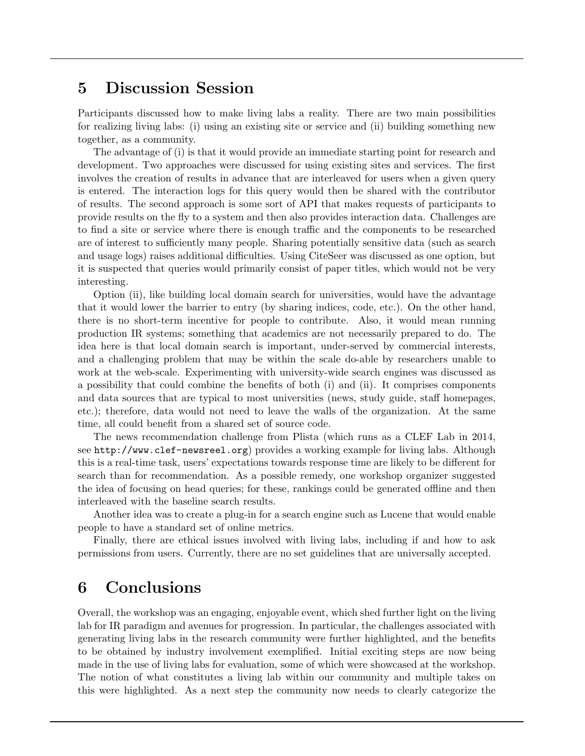#### 5 Discussion Session

Participants discussed how to make living labs a reality. There are two main possibilities for realizing living labs: (i) using an existing site or service and (ii) building something new together, as a community.

The advantage of (i) is that it would provide an immediate starting point for research and development. Two approaches were discussed for using existing sites and services. The first involves the creation of results in advance that are interleaved for users when a given query is entered. The interaction logs for this query would then be shared with the contributor of results. The second approach is some sort of API that makes requests of participants to provide results on the fly to a system and then also provides interaction data. Challenges are to find a site or service where there is enough traffic and the components to be researched are of interest to sufficiently many people. Sharing potentially sensitive data (such as search and usage logs) raises additional difficulties. Using CiteSeer was discussed as one option, but it is suspected that queries would primarily consist of paper titles, which would not be very interesting.

Option (ii), like building local domain search for universities, would have the advantage that it would lower the barrier to entry (by sharing indices, code, etc.). On the other hand, there is no short-term incentive for people to contribute. Also, it would mean running production IR systems; something that academics are not necessarily prepared to do. The idea here is that local domain search is important, under-served by commercial interests, and a challenging problem that may be within the scale do-able by researchers unable to work at the web-scale. Experimenting with university-wide search engines was discussed as a possibility that could combine the benefits of both (i) and (ii). It comprises components and data sources that are typical to most universities (news, study guide, staff homepages, etc.); therefore, data would not need to leave the walls of the organization. At the same time, all could benefit from a shared set of source code.

The news recommendation challenge from Plista (which runs as a CLEF Lab in 2014, see http://www.clef-newsreel.org) provides a working example for living labs. Although this is a real-time task, users' expectations towards response time are likely to be different for search than for recommendation. As a possible remedy, one workshop organizer suggested the idea of focusing on head queries; for these, rankings could be generated offline and then interleaved with the baseline search results.

Another idea was to create a plug-in for a search engine such as Lucene that would enable people to have a standard set of online metrics.

Finally, there are ethical issues involved with living labs, including if and how to ask permissions from users. Currently, there are no set guidelines that are universally accepted.

#### 6 Conclusions

Overall, the workshop was an engaging, enjoyable event, which shed further light on the living lab for IR paradigm and avenues for progression. In particular, the challenges associated with generating living labs in the research community were further highlighted, and the benefits to be obtained by industry involvement exemplified. Initial exciting steps are now being made in the use of living labs for evaluation, some of which were showcased at the workshop. The notion of what constitutes a living lab within our community and multiple takes on this were highlighted. As a next step the community now needs to clearly categorize the